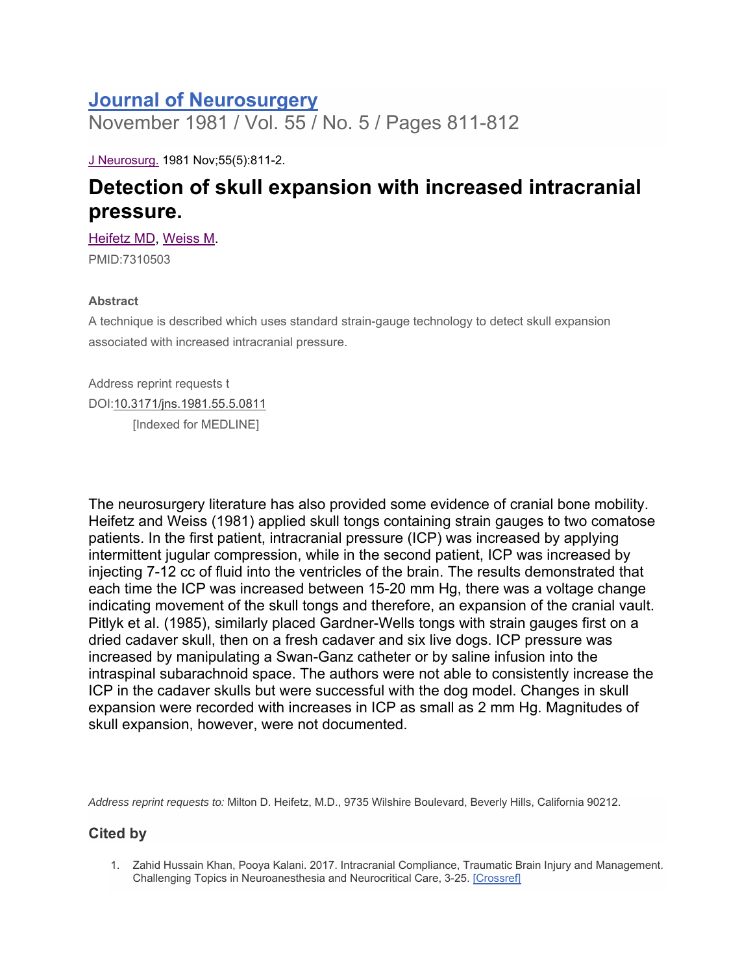## **Journal of Neurosurgery**

November 1981 / Vol. 55 / No. 5 / Pages 811-812

J Neurosurg. 1981 Nov;55(5):811-2.

## **Detection of skull expansion with increased intracranial pressure.**

Heifetz MD, Weiss M.

PMID:7310503

## **Abstract**

A technique is described which uses standard strain-gauge technology to detect skull expansion associated with increased intracranial pressure.

Address reprint requests t DOI:10.3171/jns.1981.55.5.0811 [Indexed for MEDLINE]

The neurosurgery literature has also provided some evidence of cranial bone mobility. Heifetz and Weiss (1981) applied skull tongs containing strain gauges to two comatose patients. In the first patient, intracranial pressure (ICP) was increased by applying intermittent jugular compression, while in the second patient, ICP was increased by injecting 7-12 cc of fluid into the ventricles of the brain. The results demonstrated that each time the ICP was increased between 15-20 mm Hg, there was a voltage change indicating movement of the skull tongs and therefore, an expansion of the cranial vault. Pitlyk et al. (1985), similarly placed Gardner-Wells tongs with strain gauges first on a dried cadaver skull, then on a fresh cadaver and six live dogs. ICP pressure was increased by manipulating a Swan-Ganz catheter or by saline infusion into the intraspinal subarachnoid space. The authors were not able to consistently increase the ICP in the cadaver skulls but were successful with the dog model. Changes in skull expansion were recorded with increases in ICP as small as 2 mm Hg. Magnitudes of skull expansion, however, were not documented.

*Address reprint requests to:* Milton D. Heifetz, M.D., 9735 Wilshire Boulevard, Beverly Hills, California 90212.

## **Cited by**

1. Zahid Hussain Khan, Pooya Kalani. 2017. Intracranial Compliance, Traumatic Brain Injury and Management. Challenging Topics in Neuroanesthesia and Neurocritical Care, 3-25. [Crossref]